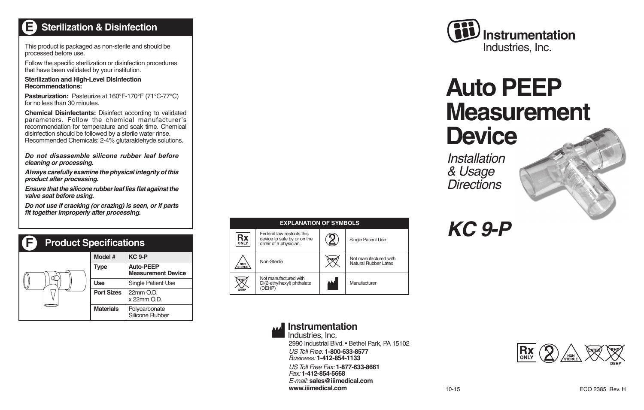#### **Sterilization & DisinfectionE**

This product is packaged as non-sterile and should be processed before use.

Follow the specific sterilization or disinfection procedures that have been validated by your institution.

**Sterilization and High-Level Disinfection Recommendations:**

**Pasteurization:** Pasteurize at 160°F-170°F (71°C-77°C) for no less than 30 minutes.

**Chemical Disinfectants:** Disinfect according to validated parameters. Follow the chemical manufacturer's recommendation for temperature and soak time. Chemical disinfection should be followed by a sterile water rinse. Recommended Chemicals: 2-4% glutaraldehyde solutions.

*Do not disassemble silicone rubber leaf before cleaning or processing.*

*Always carefully examine the physical integrity of this product after processing.*

*Ensure that the silicone rubber leaf lies flat against the valve seat before using.*

*Do not use if cracking (or crazing) is seen, or if parts*  fit together improperly after processing.

| F<br><b>Product Specifications</b> |                   |                                               |
|------------------------------------|-------------------|-----------------------------------------------|
|                                    | Model #           | <b>KC 9-P</b>                                 |
|                                    | Type              | <b>Auto-PEEP</b><br><b>Measurement Device</b> |
|                                    | Use               | <b>Single Patient Use</b>                     |
|                                    | <b>Port Sizes</b> | 22mm O.D.<br>x 22mm O.D.                      |
|                                    | <b>Materials</b>  | Polycarbonate<br>Silicone Rubber              |





# **Auto PEEP Measurement Device**

*Installation& Usage Directions* 



*KC 9-P*

### **Instrumentation**



Industries, Inc.

2990 Industrial Blvd. • Bethel Park, PA 15102 *US Toll Free:* **1-800-633-8577**

*Business:* **1-412-854-1133***US Toll Free Fax:* **1-877-633-8661***Fax:* **1-412-854-5668***E-mail:* **sales@iiimedical.comwww.iiimedical.com**